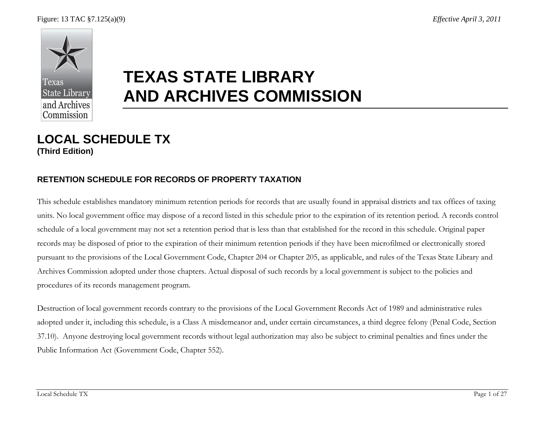

# **TEXAS STATE LIBRARY AND ARCHIVES COMMISSION**

# **LOCAL SCHEDULE TX (Third Edition)**

#### **RETENTION SCHEDULE FOR RECORDS OF PROPERTY TAXATION**

This schedule establishes mandatory minimum retention periods for records that are usually found in appraisal districts and tax offices of taxing units. No local government office may dispose of a record listed in this schedule prior to the expiration of its retention period. A records control schedule of a local government may not set a retention period that is less than that established for the record in this schedule. Original paper records may be disposed of prior to the expiration of their minimum retention periods if they have been microfilmed or electronically stored pursuant to the provisions of the Local Government Code, Chapter 204 or Chapter 205, as applicable, and rules of the Texas State Library and Archives Commission adopted under those chapters. Actual disposal of such records by a local government is subject to the policies and procedures of its records management program.

Destruction of local government records contrary to the provisions of the Local Government Records Act of 1989 and administrative rules adopted under it, including this schedule, is a Class A misdemeanor and, under certain circumstances, a third degree felony (Penal Code, Section 37.10). Anyone destroying local government records without legal authorization may also be subject to criminal penalties and fines under the Public Information Act (Government Code, Chapter 552).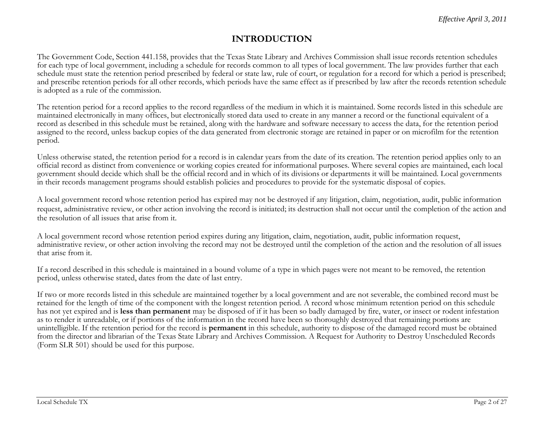#### **INTRODUCTION**

The Government Code, Section 441.158, provides that the Texas State Library and Archives Commission shall issue records retention schedules for each type of local government, including a schedule for records common to all types of local government. The law provides further that each schedule must state the retention period prescribed by federal or state law, rule of court, or regulation for a record for which a period is prescribed; and prescribe retention periods for all other records, which periods have the same effect as if prescribed by law after the records retention schedule is adopted as a rule of the commission.

The retention period for a record applies to the record regardless of the medium in which it is maintained. Some records listed in this schedule are maintained electronically in many offices, but electronically stored data used to create in any manner a record or the functional equivalent of a record as described in this schedule must be retained, along with the hardware and software necessary to access the data, for the retention period assigned to the record, unless backup copies of the data generated from electronic storage are retained in paper or on microfilm for the retention period.

Unless otherwise stated, the retention period for a record is in calendar years from the date of its creation. The retention period applies only to an official record as distinct from convenience or working copies created for informational purposes. Where several copies are maintained, each local government should decide which shall be the official record and in which of its divisions or departments it will be maintained. Local governments in their records management programs should establish policies and procedures to provide for the systematic disposal of copies.

A local government record whose retention period has expired may not be destroyed if any litigation, claim, negotiation, audit, public information request, administrative review, or other action involving the record is initiated; its destruction shall not occur until the completion of the action and the resolution of all issues that arise from it.

A local government record whose retention period expires during any litigation, claim, negotiation, audit, public information request, administrative review, or other action involving the record may not be destroyed until the completion of the action and the resolution of all issues that arise from it.

If a record described in this schedule is maintained in a bound volume of a type in which pages were not meant to be removed, the retention period, unless otherwise stated, dates from the date of last entry.

If two or more records listed in this schedule are maintained together by a local government and are not severable, the combined record must be retained for the length of time of the component with the longest retention period. A record whose minimum retention period on this schedule has not yet expired and is **less than permanent** may be disposed of if it has been so badly damaged by fire, water, or insect or rodent infestation as to render it unreadable, or if portions of the information in the record have been so thoroughly destroyed that remaining portions are unintelligible. If the retention period for the record is **permanent** in this schedule, authority to dispose of the damaged record must be obtained from the director and librarian of the Texas State Library and Archives Commission. A Request for Authority to Destroy Unscheduled Records (Form SLR 501) should be used for this purpose.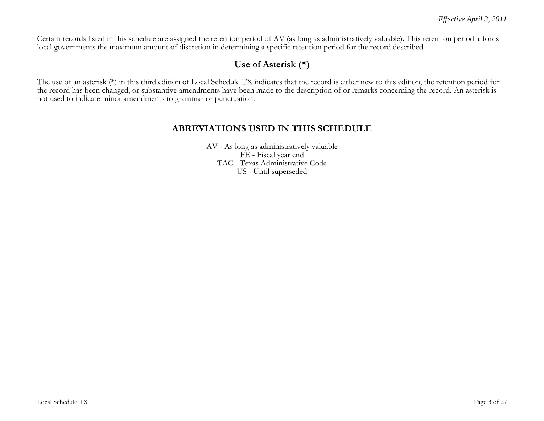Certain records listed in this schedule are assigned the retention period of AV (as long as administratively valuable). This retention period affords local governments the maximum amount of discretion in determining a specific retention period for the record described.

### **Use of Asterisk (\*)**

The use of an asterisk (\*) in this third edition of Local Schedule TX indicates that the record is either new to this edition, the retention period for the record has been changed, or substantive amendments have been made to the description of or remarks concerning the record. An asterisk is not used to indicate minor amendments to grammar or punctuation.

#### **ABREVIATIONS USED IN THIS SCHEDULE**

AV - As long as administratively valuable FE - Fiscal year end TAC - Texas Administrative Code US - Until superseded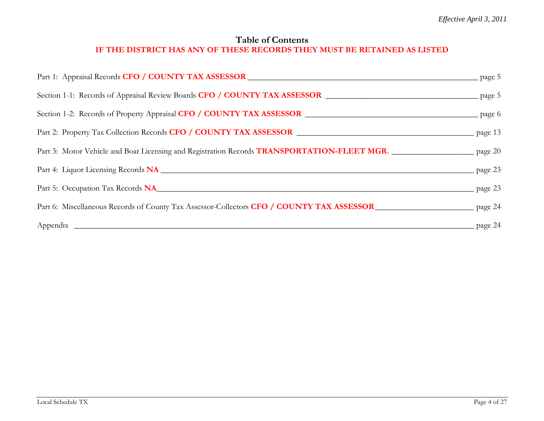#### **Table of Contents IF THE DISTRICT HAS ANY OF THESE RECORDS THEY MUST BE RETAINED AS LISTED**

| Part 1: Appraisal Records CFO / COUNTY TAX ASSESSOR DUAL DESCRIPTION AND RELATION PAGE 5                                   |                         |
|----------------------------------------------------------------------------------------------------------------------------|-------------------------|
|                                                                                                                            |                         |
|                                                                                                                            |                         |
|                                                                                                                            |                         |
| Part 3: Motor Vehicle and Boat Licensing and Registration Records TRANSPORTATION-FLEET MGR. ______________________ page 20 |                         |
|                                                                                                                            | $\frac{\ }{\ }$ page 23 |
| Part 5: Occupation Tax Records <b>NA</b>                                                                                   | $\frac{\ }{\ }$ page 23 |
| Part 6: Miscellaneous Records of County Tax Assessor-Collectors CFO / COUNTY TAX ASSESSOR<br>page 24                       |                         |
|                                                                                                                            | $\frac{1}{2}$ page 24   |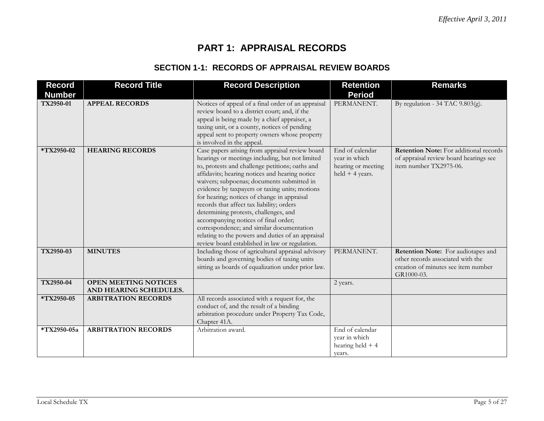# **PART 1: APPRAISAL RECORDS**

#### **SECTION 1-1: RECORDS OF APPRAISAL REVIEW BOARDS**

| <b>Record</b> | <b>Record Title</b>                                   | <b>Record Description</b>                                                                                                                                                                                                                                                                                                                                                                                                                                                                                                                                                                                                                | <b>Retention</b>                                                            | <b>Remarks</b>                                                                                                               |
|---------------|-------------------------------------------------------|------------------------------------------------------------------------------------------------------------------------------------------------------------------------------------------------------------------------------------------------------------------------------------------------------------------------------------------------------------------------------------------------------------------------------------------------------------------------------------------------------------------------------------------------------------------------------------------------------------------------------------------|-----------------------------------------------------------------------------|------------------------------------------------------------------------------------------------------------------------------|
| <b>Number</b> |                                                       |                                                                                                                                                                                                                                                                                                                                                                                                                                                                                                                                                                                                                                          | <b>Period</b>                                                               |                                                                                                                              |
| TX2950-01     | <b>APPEAL RECORDS</b>                                 | Notices of appeal of a final order of an appraisal<br>review board to a district court; and, if the<br>appeal is being made by a chief appraiser, a<br>taxing unit, or a county, notices of pending<br>appeal sent to property owners whose property<br>is involved in the appeal.                                                                                                                                                                                                                                                                                                                                                       | PERMANENT.                                                                  | By regulation - 34 TAC $9.803(g)$ .                                                                                          |
| *TX2950-02    | <b>HEARING RECORDS</b>                                | Case papers arising from appraisal review board<br>hearings or meetings including, but not limited<br>to, protests and challenge petitions; oaths and<br>affidavits; hearing notices and hearing notice<br>waivers; subpoenas; documents submitted in<br>evidence by taxpayers or taxing units; motions<br>for hearing; notices of change in appraisal<br>records that affect tax liability; orders<br>determining protests, challenges, and<br>accompanying notices of final order;<br>correspondence; and similar documentation<br>relating to the powers and duties of an appraisal<br>review board established in law or regulation. | End of calendar<br>year in which<br>hearing or meeting<br>$held + 4 years.$ | Retention Note: For additional records<br>of appraisal review board hearings see<br>item number TX2975-06.                   |
| TX2950-03     | <b>MINUTES</b>                                        | Including those of agricultural appraisal advisory<br>boards and governing bodies of taxing units<br>sitting as boards of equalization under prior law.                                                                                                                                                                                                                                                                                                                                                                                                                                                                                  | PERMANENT.                                                                  | Retention Note: For audiotapes and<br>other records associated with the<br>creation of minutes see item number<br>GR1000-03. |
| TX2950-04     | <b>OPEN MEETING NOTICES</b><br>AND HEARING SCHEDULES. |                                                                                                                                                                                                                                                                                                                                                                                                                                                                                                                                                                                                                                          | 2 years.                                                                    |                                                                                                                              |
| *TX2950-05    | <b>ARBITRATION RECORDS</b>                            | All records associated with a request for, the<br>conduct of, and the result of a binding<br>arbitration procedure under Property Tax Code,<br>Chapter 41A.                                                                                                                                                                                                                                                                                                                                                                                                                                                                              |                                                                             |                                                                                                                              |
| *TX2950-05a   | <b>ARBITRATION RECORDS</b>                            | Arbitration award.                                                                                                                                                                                                                                                                                                                                                                                                                                                                                                                                                                                                                       | End of calendar<br>year in which<br>hearing held $+4$<br>years.             |                                                                                                                              |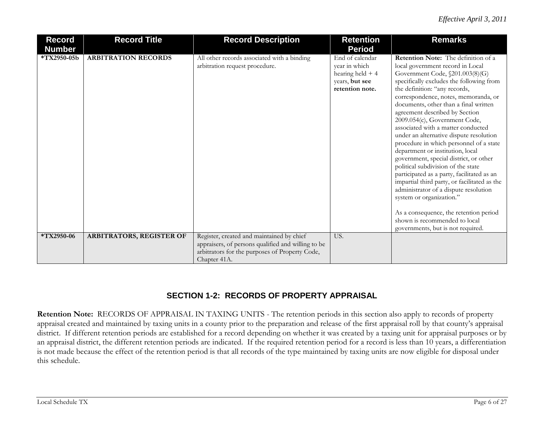| <b>Record</b> | <b>Record Title</b>        | <b>Record Description</b>                                                                                                                                         | <b>Retention</b>                                                                           | <b>Remarks</b>                                                                                                                                                                                                                                                                                                                                                                                                                                                                                                                                                                                                                                                                                                                                                                                                                                                                 |
|---------------|----------------------------|-------------------------------------------------------------------------------------------------------------------------------------------------------------------|--------------------------------------------------------------------------------------------|--------------------------------------------------------------------------------------------------------------------------------------------------------------------------------------------------------------------------------------------------------------------------------------------------------------------------------------------------------------------------------------------------------------------------------------------------------------------------------------------------------------------------------------------------------------------------------------------------------------------------------------------------------------------------------------------------------------------------------------------------------------------------------------------------------------------------------------------------------------------------------|
| <b>Number</b> |                            |                                                                                                                                                                   | <b>Period</b>                                                                              |                                                                                                                                                                                                                                                                                                                                                                                                                                                                                                                                                                                                                                                                                                                                                                                                                                                                                |
| *TX2950-05b   | <b>ARBITRATION RECORDS</b> | All other records associated with a binding<br>arbitration request procedure.                                                                                     | End of calendar<br>year in which<br>hearing held $+4$<br>years, but see<br>retention note. | Retention Note: The definition of a<br>local government record in Local<br>Government Code, §201.003(8)(G)<br>specifically excludes the following from<br>the definition: "any records,<br>correspondence, notes, memoranda, or<br>documents, other than a final written<br>agreement described by Section<br>2009.054(c), Government Code,<br>associated with a matter conducted<br>under an alternative dispute resolution<br>procedure in which personnel of a state<br>department or institution, local<br>government, special district, or other<br>political subdivision of the state<br>participated as a party, facilitated as an<br>impartial third party, or facilitated as the<br>administrator of a dispute resolution<br>system or organization."<br>As a consequence, the retention period<br>shown is recommended to local<br>governments, but is not required. |
| *TX2950-06    | ARBITRATORS, REGISTER OF   | Register, created and maintained by chief<br>appraisers, of persons qualified and willing to be<br>arbitrators for the purposes of Property Code,<br>Chapter 41A. | US.                                                                                        |                                                                                                                                                                                                                                                                                                                                                                                                                                                                                                                                                                                                                                                                                                                                                                                                                                                                                |

#### **SECTION 1-2: RECORDS OF PROPERTY APPRAISAL**

**Retention Note:** RECORDS OF APPRAISAL IN TAXING UNITS - The retention periods in this section also apply to records of property appraisal created and maintained by taxing units in a county prior to the preparation and release of the first appraisal roll by that county's appraisal district. If different retention periods are established for a record depending on whether it was created by a taxing unit for appraisal purposes or by an appraisal district, the different retention periods are indicated. If the required retention period for a record is less than 10 years, a differentiation is not made because the effect of the retention period is that all records of the type maintained by taxing units are now eligible for disposal under this schedule.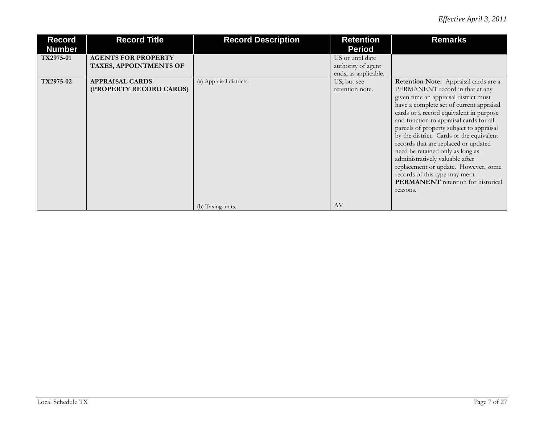| <b>Record</b><br><b>Number</b> | <b>Record Title</b>                                  | <b>Record Description</b> | <b>Retention</b><br><b>Period</b>                              | <b>Remarks</b>                                                                                                                                                                                                                                                                                                                                                                                                                                                                                                                                                                                       |
|--------------------------------|------------------------------------------------------|---------------------------|----------------------------------------------------------------|------------------------------------------------------------------------------------------------------------------------------------------------------------------------------------------------------------------------------------------------------------------------------------------------------------------------------------------------------------------------------------------------------------------------------------------------------------------------------------------------------------------------------------------------------------------------------------------------------|
| TX2975-01                      | <b>AGENTS FOR PROPERTY</b><br>TAXES, APPOINTMENTS OF |                           | US or until date<br>authority of agent<br>ends, as applicable. |                                                                                                                                                                                                                                                                                                                                                                                                                                                                                                                                                                                                      |
| TX2975-02                      | <b>APPRAISAL CARDS</b><br>(PROPERTY RECORD CARDS)    | (a) Appraisal districts.  | US, but see<br>retention note.                                 | <b>Retention Note:</b> Appraisal cards are a<br>PERMANENT record in that at any<br>given time an appraisal district must<br>have a complete set of current appraisal<br>cards or a record equivalent in purpose<br>and function to appraisal cards for all<br>parcels of property subject to appraisal<br>by the district. Cards or the equivalent<br>records that are replaced or updated<br>need be retained only as long as<br>administratively valuable after<br>replacement or update. However, some<br>records of this type may merit<br><b>PERMANENT</b> retention for historical<br>reasons. |
|                                |                                                      | (b) Taxing units.         | AV.                                                            |                                                                                                                                                                                                                                                                                                                                                                                                                                                                                                                                                                                                      |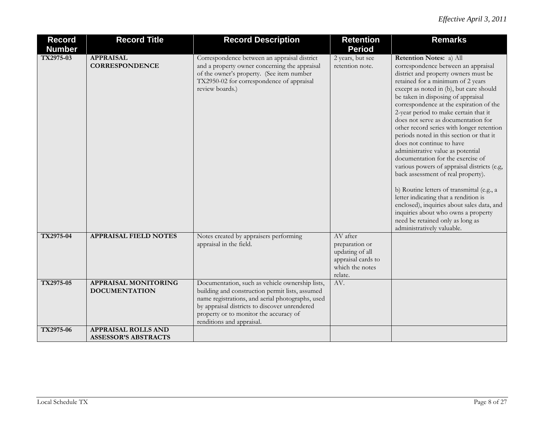| <b>Record</b> | <b>Record Title</b>                                 | <b>Record Description</b>                                                                                                                                                                                                                                                      | <b>Retention</b>                                                                                  | <b>Remarks</b>                                                                                                                                                                                                                                                                                                                                                                                                                                                                                                                                                                                                                                                                                                                                                                                                                                                                             |
|---------------|-----------------------------------------------------|--------------------------------------------------------------------------------------------------------------------------------------------------------------------------------------------------------------------------------------------------------------------------------|---------------------------------------------------------------------------------------------------|--------------------------------------------------------------------------------------------------------------------------------------------------------------------------------------------------------------------------------------------------------------------------------------------------------------------------------------------------------------------------------------------------------------------------------------------------------------------------------------------------------------------------------------------------------------------------------------------------------------------------------------------------------------------------------------------------------------------------------------------------------------------------------------------------------------------------------------------------------------------------------------------|
| <b>Number</b> |                                                     |                                                                                                                                                                                                                                                                                | <b>Period</b>                                                                                     |                                                                                                                                                                                                                                                                                                                                                                                                                                                                                                                                                                                                                                                                                                                                                                                                                                                                                            |
| TX2975-03     | <b>APPRAISAL</b><br><b>CORRESPONDENCE</b>           | Correspondence between an appraisal district<br>and a property owner concerning the appraisal<br>of the owner's property. (See item number<br>TX2950-02 for correspondence of appraisal<br>review boards.)                                                                     | 2 years, but see<br>retention note.                                                               | Retention Notes: a) All<br>correspondence between an appraisal<br>district and property owners must be<br>retained for a minimum of 2 years<br>except as noted in (b), but care should<br>be taken in disposing of appraisal<br>correspondence at the expiration of the<br>2-year period to make certain that it<br>does not serve as documentation for<br>other record series with longer retention<br>periods noted in this section or that it<br>does not continue to have<br>administrative value as potential<br>documentation for the exercise of<br>various powers of appraisal districts (e.g,<br>back assessment of real property).<br>b) Routine letters of transmittal (e.g., a<br>letter indicating that a rendition is<br>enclosed), inquiries about sales data, and<br>inquiries about who owns a property<br>need be retained only as long as<br>administratively valuable. |
| TX2975-04     | <b>APPRAISAL FIELD NOTES</b>                        | Notes created by appraisers performing<br>appraisal in the field.                                                                                                                                                                                                              | AV after<br>preparation or<br>updating of all<br>appraisal cards to<br>which the notes<br>relate. |                                                                                                                                                                                                                                                                                                                                                                                                                                                                                                                                                                                                                                                                                                                                                                                                                                                                                            |
| TX2975-05     | <b>APPRAISAL MONITORING</b><br><b>DOCUMENTATION</b> | Documentation, such as vehicle ownership lists,<br>building and construction permit lists, assumed<br>name registrations, and aerial photographs, used<br>by appraisal districts to discover unrendered<br>property or to monitor the accuracy of<br>renditions and appraisal. | AV.                                                                                               |                                                                                                                                                                                                                                                                                                                                                                                                                                                                                                                                                                                                                                                                                                                                                                                                                                                                                            |
| TX2975-06     | APPRAISAL ROLLS AND<br><b>ASSESSOR'S ABSTRACTS</b>  |                                                                                                                                                                                                                                                                                |                                                                                                   |                                                                                                                                                                                                                                                                                                                                                                                                                                                                                                                                                                                                                                                                                                                                                                                                                                                                                            |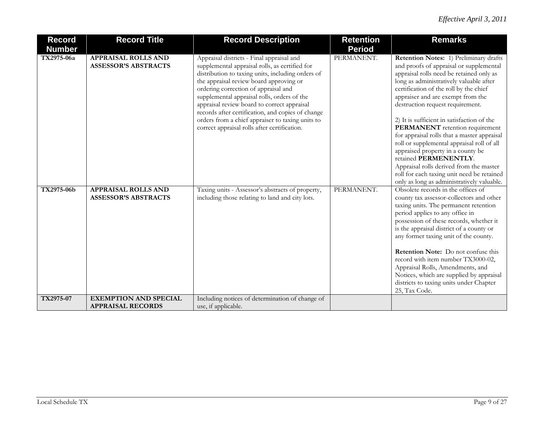| <b>Record</b><br><b>Number</b> | <b>Record Title</b>                                       | <b>Record Description</b>                                                                                                                                                                                                                                                                                                                                                                                                                                                                  | <b>Retention</b><br><b>Period</b> | <b>Remarks</b>                                                                                                                                                                                                                                                                                                                                                                                                                                                                                                                                                                                                                                                                 |
|--------------------------------|-----------------------------------------------------------|--------------------------------------------------------------------------------------------------------------------------------------------------------------------------------------------------------------------------------------------------------------------------------------------------------------------------------------------------------------------------------------------------------------------------------------------------------------------------------------------|-----------------------------------|--------------------------------------------------------------------------------------------------------------------------------------------------------------------------------------------------------------------------------------------------------------------------------------------------------------------------------------------------------------------------------------------------------------------------------------------------------------------------------------------------------------------------------------------------------------------------------------------------------------------------------------------------------------------------------|
| TX2975-06a                     | <b>APPRAISAL ROLLS AND</b><br><b>ASSESSOR'S ABSTRACTS</b> | Appraisal districts - Final appraisal and<br>supplemental appraisal rolls, as certified for<br>distribution to taxing units, including orders of<br>the appraisal review board approving or<br>ordering correction of appraisal and<br>supplemental appraisal rolls, orders of the<br>appraisal review board to correct appraisal<br>records after certification, and copies of change<br>orders from a chief appraiser to taxing units to<br>correct appraisal rolls after certification. | PERMANENT.                        | Retention Notes: 1) Preliminary drafts<br>and proofs of appraisal or supplemental<br>appraisal rolls need be retained only as<br>long as administratively valuable after<br>certification of the roll by the chief<br>appraiser and are exempt from the<br>destruction request requirement.<br>2) It is sufficient in satisfaction of the<br>PERMANENT retention requirement<br>for appraisal rolls that a master appraisal<br>roll or supplemental appraisal roll of all<br>appraised property in a county be<br>retained PERMENENTLY.<br>Appraisal rolls derived from the master<br>roll for each taxing unit need be retained<br>only as long as administratively valuable. |
| TX2975-06b                     | <b>APPRAISAL ROLLS AND</b><br><b>ASSESSOR'S ABSTRACTS</b> | Taxing units - Assessor's abstracts of property,<br>including those relating to land and city lots.                                                                                                                                                                                                                                                                                                                                                                                        | PERMANENT.                        | Obsolete records in the offices of<br>county tax assessor-collectors and other<br>taxing units. The permanent retention<br>period applies to any office in<br>possession of these records, whether it<br>is the appraisal district of a county or<br>any former taxing unit of the county.<br><b>Retention Note:</b> Do not confuse this<br>record with item number TX3000-02,<br>Appraisal Rolls, Amendments, and<br>Notices, which are supplied by appraisal<br>districts to taxing units under Chapter<br>25, Tax Code.                                                                                                                                                     |
| TX2975-07                      | <b>EXEMPTION AND SPECIAL</b><br><b>APPRAISAL RECORDS</b>  | Including notices of determination of change of<br>use, if applicable.                                                                                                                                                                                                                                                                                                                                                                                                                     |                                   |                                                                                                                                                                                                                                                                                                                                                                                                                                                                                                                                                                                                                                                                                |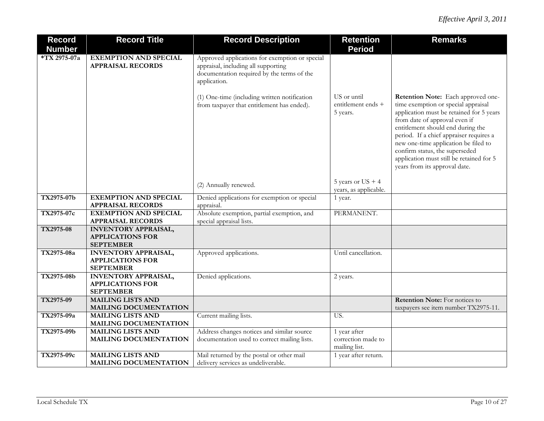| <b>Record</b> | <b>Record Title</b>                                      | <b>Record Description</b>                                                                                                                           | <b>Retention</b>                              | <b>Remarks</b>                                                                                                                                                                                                                                                                                                                                                                                |
|---------------|----------------------------------------------------------|-----------------------------------------------------------------------------------------------------------------------------------------------------|-----------------------------------------------|-----------------------------------------------------------------------------------------------------------------------------------------------------------------------------------------------------------------------------------------------------------------------------------------------------------------------------------------------------------------------------------------------|
| <b>Number</b> |                                                          |                                                                                                                                                     | <b>Period</b>                                 |                                                                                                                                                                                                                                                                                                                                                                                               |
| *TX 2975-07a  | <b>EXEMPTION AND SPECIAL</b><br><b>APPRAISAL RECORDS</b> | Approved applications for exemption or special<br>appraisal, including all supporting<br>documentation required by the terms of the<br>application. |                                               |                                                                                                                                                                                                                                                                                                                                                                                               |
|               |                                                          | (1) One-time (including written notification<br>from taxpayer that entitlement has ended).                                                          | US or until<br>entitlement ends +<br>5 years. | Retention Note: Each approved one-<br>time exemption or special appraisal<br>application must be retained for 5 years<br>from date of approval even if<br>entitlement should end during the<br>period. If a chief appraiser requires a<br>new one-time application be filed to<br>confirm status, the superseded<br>application must still be retained for 5<br>years from its approval date. |
|               |                                                          | (2) Annually renewed.                                                                                                                               | 5 years or $US + 4$<br>years, as applicable.  |                                                                                                                                                                                                                                                                                                                                                                                               |
| TX2975-07b    | <b>EXEMPTION AND SPECIAL</b>                             | Denied applications for exemption or special                                                                                                        | 1 year.                                       |                                                                                                                                                                                                                                                                                                                                                                                               |
|               | <b>APPRAISAL RECORDS</b>                                 | appraisal.                                                                                                                                          |                                               |                                                                                                                                                                                                                                                                                                                                                                                               |
| TX2975-07c    | <b>EXEMPTION AND SPECIAL</b>                             | Absolute exemption, partial exemption, and                                                                                                          | PERMANENT.                                    |                                                                                                                                                                                                                                                                                                                                                                                               |
|               | <b>APPRAISAL RECORDS</b>                                 | special appraisal lists.                                                                                                                            |                                               |                                                                                                                                                                                                                                                                                                                                                                                               |
| TX2975-08     | <b>INVENTORY APPRAISAL,</b>                              |                                                                                                                                                     |                                               |                                                                                                                                                                                                                                                                                                                                                                                               |
|               | <b>APPLICATIONS FOR</b>                                  |                                                                                                                                                     |                                               |                                                                                                                                                                                                                                                                                                                                                                                               |
|               | <b>SEPTEMBER</b>                                         |                                                                                                                                                     |                                               |                                                                                                                                                                                                                                                                                                                                                                                               |
| TX2975-08a    | <b>INVENTORY APPRAISAL,</b>                              | Approved applications.                                                                                                                              | Until cancellation.                           |                                                                                                                                                                                                                                                                                                                                                                                               |
|               | <b>APPLICATIONS FOR</b>                                  |                                                                                                                                                     |                                               |                                                                                                                                                                                                                                                                                                                                                                                               |
|               | <b>SEPTEMBER</b>                                         |                                                                                                                                                     |                                               |                                                                                                                                                                                                                                                                                                                                                                                               |
| TX2975-08b    | <b>INVENTORY APPRAISAL,</b>                              | Denied applications.                                                                                                                                | 2 years.                                      |                                                                                                                                                                                                                                                                                                                                                                                               |
|               | <b>APPLICATIONS FOR</b>                                  |                                                                                                                                                     |                                               |                                                                                                                                                                                                                                                                                                                                                                                               |
|               | <b>SEPTEMBER</b>                                         |                                                                                                                                                     |                                               |                                                                                                                                                                                                                                                                                                                                                                                               |
| TX2975-09     | <b>MAILING LISTS AND</b>                                 |                                                                                                                                                     |                                               | <b>Retention Note:</b> For notices to                                                                                                                                                                                                                                                                                                                                                         |
|               | MAILING DOCUMENTATION                                    |                                                                                                                                                     |                                               | taxpayers see item number TX2975-11.                                                                                                                                                                                                                                                                                                                                                          |
| TX2975-09a    | <b>MAILING LISTS AND</b>                                 | Current mailing lists.                                                                                                                              | US.                                           |                                                                                                                                                                                                                                                                                                                                                                                               |
|               | MAILING DOCUMENTATION                                    |                                                                                                                                                     |                                               |                                                                                                                                                                                                                                                                                                                                                                                               |
| TX2975-09b    | <b>MAILING LISTS AND</b>                                 | Address changes notices and similar source                                                                                                          | 1 year after                                  |                                                                                                                                                                                                                                                                                                                                                                                               |
|               | MAILING DOCUMENTATION                                    | documentation used to correct mailing lists.                                                                                                        | correction made to                            |                                                                                                                                                                                                                                                                                                                                                                                               |
|               | <b>MAILING LISTS AND</b>                                 |                                                                                                                                                     | mailing list.                                 |                                                                                                                                                                                                                                                                                                                                                                                               |
| TX2975-09c    |                                                          | Mail returned by the postal or other mail                                                                                                           | 1 year after return.                          |                                                                                                                                                                                                                                                                                                                                                                                               |
|               | <b>MAILING DOCUMENTATION</b>                             | delivery services as undeliverable.                                                                                                                 |                                               |                                                                                                                                                                                                                                                                                                                                                                                               |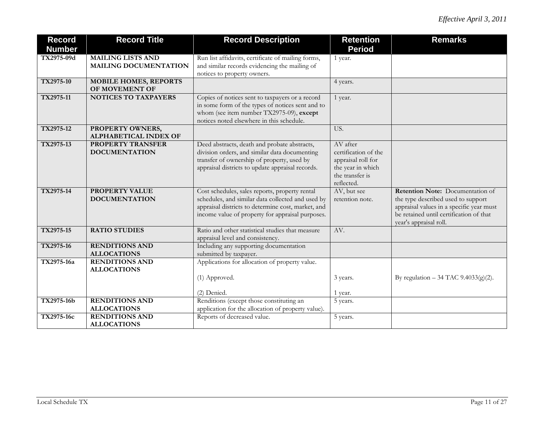| <b>Record</b><br><b>Number</b> | <b>Record Title</b>                                      | <b>Record Description</b>                                                                                                                                                                                     | <b>Retention</b><br><b>Period</b>                                                                            | <b>Remarks</b>                                                                                                                                                                          |
|--------------------------------|----------------------------------------------------------|---------------------------------------------------------------------------------------------------------------------------------------------------------------------------------------------------------------|--------------------------------------------------------------------------------------------------------------|-----------------------------------------------------------------------------------------------------------------------------------------------------------------------------------------|
| TX2975-09d                     | <b>MAILING LISTS AND</b><br><b>MAILING DOCUMENTATION</b> | Run list affidavits, certificate of mailing forms,<br>and similar records evidencing the mailing of<br>notices to property owners.                                                                            | 1 year.                                                                                                      |                                                                                                                                                                                         |
| TX2975-10                      | <b>MOBILE HOMES, REPORTS</b><br>OF MOVEMENT OF           |                                                                                                                                                                                                               | 4 years.                                                                                                     |                                                                                                                                                                                         |
| TX2975-11                      | <b>NOTICES TO TAXPAYERS</b>                              | Copies of notices sent to taxpayers or a record<br>in some form of the types of notices sent and to<br>whom (see item number TX2975-09), except<br>notices noted elsewhere in this schedule.                  | 1 year.                                                                                                      |                                                                                                                                                                                         |
| TX2975-12                      | PROPERTY OWNERS,<br>ALPHABETICAL INDEX OF                |                                                                                                                                                                                                               | US.                                                                                                          |                                                                                                                                                                                         |
| TX2975-13                      | <b>PROPERTY TRANSFER</b><br><b>DOCUMENTATION</b>         | Deed abstracts, death and probate abstracts,<br>division orders, and similar data documenting<br>transfer of ownership of property, used by<br>appraisal districts to update appraisal records.               | AV after<br>certification of the<br>appraisal roll for<br>the year in which<br>the transfer is<br>reflected. |                                                                                                                                                                                         |
| TX2975-14                      | PROPERTY VALUE<br><b>DOCUMENTATION</b>                   | Cost schedules, sales reports, property rental<br>schedules, and similar data collected and used by<br>appraisal districts to determine cost, market, and<br>income value of property for appraisal purposes. | AV, but see<br>retention note.                                                                               | Retention Note: Documentation of<br>the type described used to support<br>appraisal values in a specific year must<br>be retained until certification of that<br>year's appraisal roll. |
| TX2975-15                      | <b>RATIO STUDIES</b>                                     | Ratio and other statistical studies that measure<br>appraisal level and consistency.                                                                                                                          | AV.                                                                                                          |                                                                                                                                                                                         |
| TX2975-16                      | <b>RENDITIONS AND</b><br><b>ALLOCATIONS</b>              | Including any supporting documentation<br>submitted by taxpayer.                                                                                                                                              |                                                                                                              |                                                                                                                                                                                         |
| TX2975-16a                     | <b>RENDITIONS AND</b><br><b>ALLOCATIONS</b>              | Applications for allocation of property value.<br>(1) Approved.<br>(2) Denied.                                                                                                                                | 3 years.<br>1 year.                                                                                          | By regulation – 34 TAC 9.4033(g)(2).                                                                                                                                                    |
| TX2975-16b                     | <b>RENDITIONS AND</b><br><b>ALLOCATIONS</b>              | Renditions (except those constituting an<br>application for the allocation of property value).                                                                                                                | 5 years.                                                                                                     |                                                                                                                                                                                         |
| TX2975-16c                     | <b>RENDITIONS AND</b><br><b>ALLOCATIONS</b>              | Reports of decreased value.                                                                                                                                                                                   | 5 years.                                                                                                     |                                                                                                                                                                                         |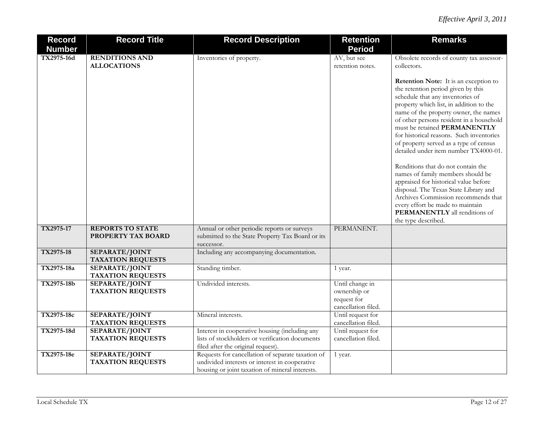| <b>Record</b> | <b>Record Title</b>                         | <b>Record Description</b>                                                                                                                              | <b>Retention</b>                                                      | <b>Remarks</b>                                                                                                                                                                                                                                                                                                                                                                                                                                                                                                                                                                                                                                                                                                 |
|---------------|---------------------------------------------|--------------------------------------------------------------------------------------------------------------------------------------------------------|-----------------------------------------------------------------------|----------------------------------------------------------------------------------------------------------------------------------------------------------------------------------------------------------------------------------------------------------------------------------------------------------------------------------------------------------------------------------------------------------------------------------------------------------------------------------------------------------------------------------------------------------------------------------------------------------------------------------------------------------------------------------------------------------------|
| <b>Number</b> |                                             |                                                                                                                                                        | <b>Period</b>                                                         |                                                                                                                                                                                                                                                                                                                                                                                                                                                                                                                                                                                                                                                                                                                |
| TX2975-16d    | <b>RENDITIONS AND</b><br><b>ALLOCATIONS</b> | Inventories of property.                                                                                                                               | AV, but see<br>retention notes.                                       | Obsolete records of county tax assessor-<br>collectors.                                                                                                                                                                                                                                                                                                                                                                                                                                                                                                                                                                                                                                                        |
|               |                                             |                                                                                                                                                        |                                                                       | Retention Note: It is an exception to<br>the retention period given by this<br>schedule that any inventories of<br>property which list, in addition to the<br>name of the property owner, the names<br>of other persons resident in a household<br>must be retained PERMANENTLY<br>for historical reasons. Such inventories<br>of property served as a type of census<br>detailed under item number TX4000-01.<br>Renditions that do not contain the<br>names of family members should be<br>appraised for historical value before<br>disposal. The Texas State Library and<br>Archives Commission recommends that<br>every effort be made to maintain<br>PERMANENTLY all renditions of<br>the type described. |
| TX2975-17     | <b>REPORTS TO STATE</b>                     | Annual or other periodic reports or surveys                                                                                                            | PERMANENT.                                                            |                                                                                                                                                                                                                                                                                                                                                                                                                                                                                                                                                                                                                                                                                                                |
|               | PROPERTY TAX BOARD                          | submitted to the State Property Tax Board or its<br>successor.                                                                                         |                                                                       |                                                                                                                                                                                                                                                                                                                                                                                                                                                                                                                                                                                                                                                                                                                |
| TX2975-18     | SEPARATE/JOINT<br><b>TAXATION REQUESTS</b>  | Including any accompanying documentation.                                                                                                              |                                                                       |                                                                                                                                                                                                                                                                                                                                                                                                                                                                                                                                                                                                                                                                                                                |
| TX2975-18a    | SEPARATE/JOINT<br><b>TAXATION REQUESTS</b>  | Standing timber.                                                                                                                                       | 1 year.                                                               |                                                                                                                                                                                                                                                                                                                                                                                                                                                                                                                                                                                                                                                                                                                |
| TX2975-18b    | SEPARATE/JOINT<br><b>TAXATION REQUESTS</b>  | Undivided interests.                                                                                                                                   | Until change in<br>ownership or<br>request for<br>cancellation filed. |                                                                                                                                                                                                                                                                                                                                                                                                                                                                                                                                                                                                                                                                                                                |
| TX2975-18c    | SEPARATE/JOINT<br><b>TAXATION REQUESTS</b>  | Mineral interests.                                                                                                                                     | Until request for<br>cancellation filed.                              |                                                                                                                                                                                                                                                                                                                                                                                                                                                                                                                                                                                                                                                                                                                |
| TX2975-18d    | SEPARATE/JOINT<br><b>TAXATION REQUESTS</b>  | Interest in cooperative housing (including any<br>lists of stockholders or verification documents<br>filed after the original request).                | Until request for<br>cancellation filed.                              |                                                                                                                                                                                                                                                                                                                                                                                                                                                                                                                                                                                                                                                                                                                |
| TX2975-18e    | SEPARATE/JOINT<br><b>TAXATION REQUESTS</b>  | Requests for cancellation of separate taxation of<br>undivided interests or interest in cooperative<br>housing or joint taxation of mineral interests. | 1 year.                                                               |                                                                                                                                                                                                                                                                                                                                                                                                                                                                                                                                                                                                                                                                                                                |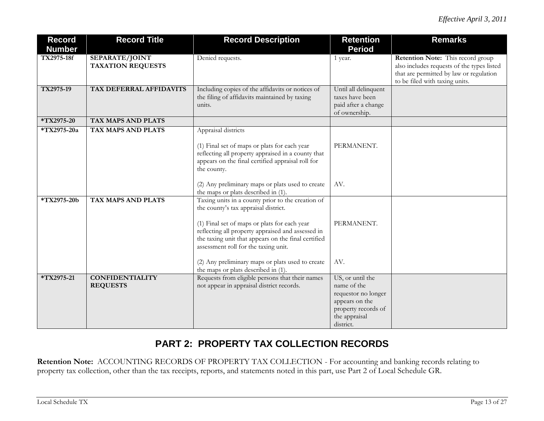| <b>Record</b><br><b>Number</b> | <b>Record Title</b>                        | <b>Record Description</b>                                                                                                                                                                                                                                                                                                                         | <b>Retention</b><br><b>Period</b>                                                                                             | <b>Remarks</b>                                                                                                                                               |
|--------------------------------|--------------------------------------------|---------------------------------------------------------------------------------------------------------------------------------------------------------------------------------------------------------------------------------------------------------------------------------------------------------------------------------------------------|-------------------------------------------------------------------------------------------------------------------------------|--------------------------------------------------------------------------------------------------------------------------------------------------------------|
| TX2975-18f                     | SEPARATE/JOINT<br><b>TAXATION REQUESTS</b> | Denied requests.                                                                                                                                                                                                                                                                                                                                  | 1 year.                                                                                                                       | Retention Note: This record group<br>also includes requests of the types listed<br>that are permitted by law or regulation<br>to be filed with taxing units. |
| TX2975-19                      | TAX DEFERRAL AFFIDAVITS                    | Including copies of the affidavits or notices of<br>the filing of affidavits maintained by taxing<br>units.                                                                                                                                                                                                                                       | Until all delinquent<br>taxes have been<br>paid after a change<br>of ownership.                                               |                                                                                                                                                              |
| *TX2975-20                     | TAX MAPS AND PLATS                         |                                                                                                                                                                                                                                                                                                                                                   |                                                                                                                               |                                                                                                                                                              |
| *TX2975-20a                    | <b>TAX MAPS AND PLATS</b>                  | Appraisal districts<br>(1) Final set of maps or plats for each year<br>reflecting all property appraised in a county that<br>appears on the final certified appraisal roll for<br>the county.                                                                                                                                                     | PERMANENT.                                                                                                                    |                                                                                                                                                              |
|                                |                                            | (2) Any preliminary maps or plats used to create<br>the maps or plats described in (1).                                                                                                                                                                                                                                                           | AV.                                                                                                                           |                                                                                                                                                              |
| *TX2975-20b                    | TAX MAPS AND PLATS                         | Taxing units in a county prior to the creation of<br>the county's tax appraisal district.<br>(1) Final set of maps or plats for each year<br>reflecting all property appraised and assessed in<br>the taxing unit that appears on the final certified<br>assessment roll for the taxing unit.<br>(2) Any preliminary maps or plats used to create | PERMANENT.<br>AV.                                                                                                             |                                                                                                                                                              |
|                                |                                            | the maps or plats described in (1).                                                                                                                                                                                                                                                                                                               |                                                                                                                               |                                                                                                                                                              |
| *TX2975-21                     | <b>CONFIDENTIALITY</b><br><b>REQUESTS</b>  | Requests from eligible persons that their names<br>not appear in appraisal district records.                                                                                                                                                                                                                                                      | US, or until the<br>name of the<br>requestor no longer<br>appears on the<br>property records of<br>the appraisal<br>district. |                                                                                                                                                              |

# **PART 2: PROPERTY TAX COLLECTION RECORDS**

**Retention Note:** ACCOUNTING RECORDS OF PROPERTY TAX COLLECTION - For accounting and banking records relating to property tax collection, other than the tax receipts, reports, and statements noted in this part, use Part 2 of Local Schedule GR.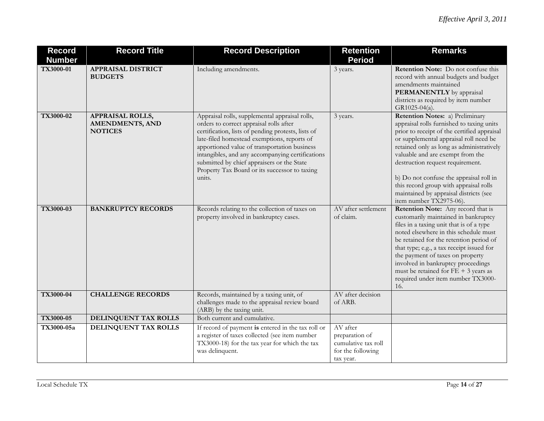| <b>Record</b> | <b>Record Title</b>                                                 | <b>Record Description</b>                                                                                                                                                                                                                                                                                                                                                                                   | <b>Retention</b>                                                                    | <b>Remarks</b>                                                                                                                                                                                                                                                                                                                                                                                                                                       |
|---------------|---------------------------------------------------------------------|-------------------------------------------------------------------------------------------------------------------------------------------------------------------------------------------------------------------------------------------------------------------------------------------------------------------------------------------------------------------------------------------------------------|-------------------------------------------------------------------------------------|------------------------------------------------------------------------------------------------------------------------------------------------------------------------------------------------------------------------------------------------------------------------------------------------------------------------------------------------------------------------------------------------------------------------------------------------------|
| <b>Number</b> |                                                                     |                                                                                                                                                                                                                                                                                                                                                                                                             | <b>Period</b>                                                                       |                                                                                                                                                                                                                                                                                                                                                                                                                                                      |
| TX3000-01     | <b>APPRAISAL DISTRICT</b><br><b>BUDGETS</b>                         | Including amendments.                                                                                                                                                                                                                                                                                                                                                                                       | 3 years.                                                                            | <b>Retention Note:</b> Do not confuse this<br>record with annual budgets and budget<br>amendments maintained<br><b>PERMANENTLY</b> by appraisal<br>districts as required by item number<br>GR1025-04(a).                                                                                                                                                                                                                                             |
| TX3000-02     | <b>APPRAISAL ROLLS,</b><br><b>AMENDMENTS, AND</b><br><b>NOTICES</b> | Appraisal rolls, supplemental appraisal rolls,<br>orders to correct appraisal rolls after<br>certification, lists of pending protests, lists of<br>late-filed homestead exemptions, reports of<br>apportioned value of transportation business<br>intangibles, and any accompanying certifications<br>submitted by chief appraisers or the State<br>Property Tax Board or its successor to taxing<br>units. | 3 years.                                                                            | Retention Notes: a) Preliminary<br>appraisal rolls furnished to taxing units<br>prior to receipt of the certified appraisal<br>or supplemental appraisal roll need be<br>retained only as long as administratively<br>valuable and are exempt from the<br>destruction request requirement.<br>b) Do not confuse the appraisal roll in<br>this record group with appraisal rolls<br>maintained by appraisal districts (see<br>item number TX2975-06). |
| TX3000-03     | <b>BANKRUPTCY RECORDS</b>                                           | Records relating to the collection of taxes on<br>property involved in bankruptcy cases.                                                                                                                                                                                                                                                                                                                    | AV after settlement<br>of claim.                                                    | <b>Retention Note:</b> Any record that is<br>customarily maintained in bankruptcy<br>files in a taxing unit that is of a type<br>noted elsewhere in this schedule must<br>be retained for the retention period of<br>that type; e.g., a tax receipt issued for<br>the payment of taxes on property<br>involved in bankruptcy proceedings<br>must be retained for $FE + 3$ years as<br>required under item number TX3000-<br>16.                      |
| TX3000-04     | <b>CHALLENGE RECORDS</b>                                            | Records, maintained by a taxing unit, of<br>challenges made to the appraisal review board<br>(ARB) by the taxing unit.                                                                                                                                                                                                                                                                                      | AV after decision<br>of ARB.                                                        |                                                                                                                                                                                                                                                                                                                                                                                                                                                      |
| TX3000-05     | DELINQUENT TAX ROLLS                                                | Both current and cumulative.                                                                                                                                                                                                                                                                                                                                                                                |                                                                                     |                                                                                                                                                                                                                                                                                                                                                                                                                                                      |
| TX3000-05a    | <b>DELINQUENT TAX ROLLS</b>                                         | If record of payment is entered in the tax roll or<br>a register of taxes collected (see item number<br>TX3000-18) for the tax year for which the tax<br>was delinquent.                                                                                                                                                                                                                                    | AV after<br>preparation of<br>cumulative tax roll<br>for the following<br>tax year. |                                                                                                                                                                                                                                                                                                                                                                                                                                                      |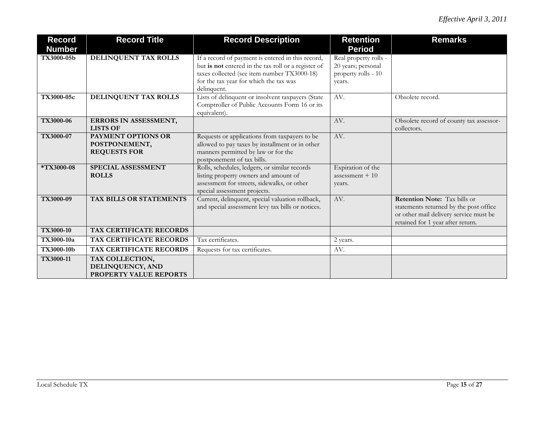| <b>Record</b><br><b>Number</b> | <b>Record Title</b>                                               | <b>Record Description</b>                                                                                                                                                                                        | <b>Retention</b><br><b>Period</b>                                            | <b>Remarks</b>                                                                                                                                               |
|--------------------------------|-------------------------------------------------------------------|------------------------------------------------------------------------------------------------------------------------------------------------------------------------------------------------------------------|------------------------------------------------------------------------------|--------------------------------------------------------------------------------------------------------------------------------------------------------------|
| TX3000-05b                     | DELINQUENT TAX ROLLS                                              | If a record of payment is entered in this record,<br>but is not entered in the tax roll or a register of<br>taxes collected (see item number TX3000-18)<br>for the tax year for which the tax was<br>delinquent. | Real property rolls -<br>20 years; personal<br>property rolls - 10<br>years. |                                                                                                                                                              |
| TX3000-05c                     | DELINQUENT TAX ROLLS                                              | Lists of delinquent or insolvent taxpayers (State<br>Comptroller of Public Accounts Form 16 or its<br>equivalent).                                                                                               | AV.                                                                          | Obsolete record.                                                                                                                                             |
| <b>TX3000-06</b>               | ERRORS IN ASSESSMENT,<br><b>LISTS OF</b>                          |                                                                                                                                                                                                                  | AV.                                                                          | Obsolete record of county tax assessor-<br>collectors.                                                                                                       |
| TX3000-07                      | <b>PAYMENT OPTIONS OR</b><br>POSTPONEMENT,<br><b>REQUESTS FOR</b> | Requests or applications from taxpayers to be<br>allowed to pay taxes by installment or in other<br>manners permitted by law or for the<br>postponement of tax bills.                                            | AV.                                                                          |                                                                                                                                                              |
| *TX3000-08                     | SPECIAL ASSESSMENT<br><b>ROLLS</b>                                | Rolls, schedules, ledgers, or similar records<br>listing property owners and amount of<br>assessment for streets, sidewalks, or other<br>special assessment projects.                                            | Expiration of the<br>assessment $+10$<br>years.                              |                                                                                                                                                              |
| TX3000-09                      | <b>TAX BILLS OR STATEMENTS</b>                                    | Current, delinquent, special valuation rollback,<br>and special assessment levy tax bills or notices.                                                                                                            | AV.                                                                          | <b>Retention Note:</b> Tax bills or<br>statements returned by the post office<br>or other mail delivery service must be<br>retained for 1 year after return. |
| TX3000-10                      | TAX CERTIFICATE RECORDS                                           |                                                                                                                                                                                                                  |                                                                              |                                                                                                                                                              |
| TX3000-10a                     | TAX CERTIFICATE RECORDS                                           | Tax certificates.                                                                                                                                                                                                | 2 years.                                                                     |                                                                                                                                                              |
| TX3000-10b                     | TAX CERTIFICATE RECORDS                                           | Requests for tax certificates.                                                                                                                                                                                   | AV.                                                                          |                                                                                                                                                              |
| TX3000-11                      | TAX COLLECTION,<br>DELINQUENCY, AND<br>PROPERTY VALUE REPORTS     |                                                                                                                                                                                                                  |                                                                              |                                                                                                                                                              |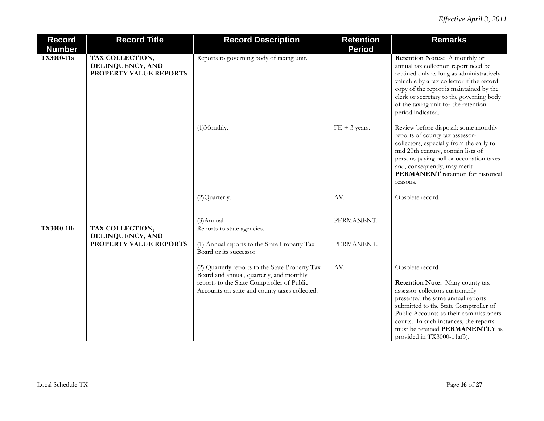| <b>Record</b><br><b>Number</b> | <b>Record Title</b>                                           | <b>Record Description</b>                                                                                                                                                                  | <b>Retention</b><br><b>Period</b> | <b>Remarks</b>                                                                                                                                                                                                                                                                                                            |
|--------------------------------|---------------------------------------------------------------|--------------------------------------------------------------------------------------------------------------------------------------------------------------------------------------------|-----------------------------------|---------------------------------------------------------------------------------------------------------------------------------------------------------------------------------------------------------------------------------------------------------------------------------------------------------------------------|
| TX3000-11a                     | TAX COLLECTION,<br>DELINQUENCY, AND<br>PROPERTY VALUE REPORTS | Reports to governing body of taxing unit.                                                                                                                                                  |                                   | Retention Notes: A monthly or<br>annual tax collection report need be<br>retained only as long as administratively<br>valuable by a tax collector if the record<br>copy of the report is maintained by the<br>clerk or secretary to the governing body<br>of the taxing unit for the retention<br>period indicated.       |
|                                |                                                               | (1)Monthly.                                                                                                                                                                                | $FE + 3 \text{ years}.$           | Review before disposal; some monthly<br>reports of county tax assessor-<br>collectors, especially from the early to<br>mid 20th century, contain lists of<br>persons paying poll or occupation taxes<br>and, consequently, may merit<br><b>PERMANENT</b> retention for historical<br>reasons.                             |
|                                |                                                               | (2) Quarterly.                                                                                                                                                                             | AV.                               | Obsolete record.                                                                                                                                                                                                                                                                                                          |
|                                |                                                               | $(3)$ Annual.                                                                                                                                                                              | PERMANENT.                        |                                                                                                                                                                                                                                                                                                                           |
| <b>TX3000-11b</b>              | TAX COLLECTION,<br>DELINQUENCY, AND<br>PROPERTY VALUE REPORTS | Reports to state agencies.<br>(1) Annual reports to the State Property Tax<br>Board or its successor.                                                                                      | PERMANENT.                        |                                                                                                                                                                                                                                                                                                                           |
|                                |                                                               | (2) Quarterly reports to the State Property Tax<br>Board and annual, quarterly, and monthly<br>reports to the State Comptroller of Public<br>Accounts on state and county taxes collected. | AV.                               | Obsolete record.<br>Retention Note: Many county tax<br>assessor-collectors customarily<br>presented the same annual reports<br>submitted to the State Comptroller of<br>Public Accounts to their commissioners<br>courts. In such instances, the reports<br>must be retained PERMANENTLY as<br>provided in TX3000-11a(3). |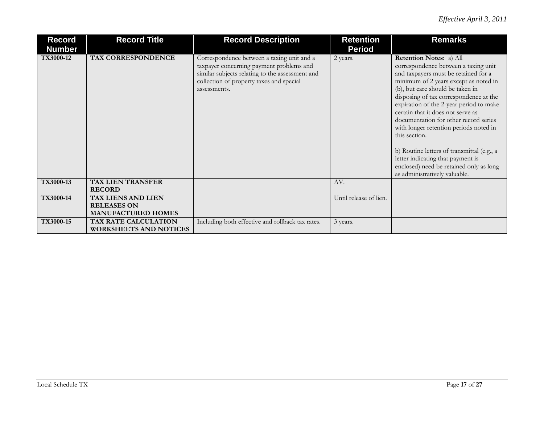| Record<br><b>Number</b> | <b>Record Title</b>                                   | <b>Record Description</b>                                                                                                                                                                             | <b>Retention</b><br><b>Period</b> | <b>Remarks</b>                                                                                                                                                                                                                                                                                                                                                                                                                                                                                                                                                                    |
|-------------------------|-------------------------------------------------------|-------------------------------------------------------------------------------------------------------------------------------------------------------------------------------------------------------|-----------------------------------|-----------------------------------------------------------------------------------------------------------------------------------------------------------------------------------------------------------------------------------------------------------------------------------------------------------------------------------------------------------------------------------------------------------------------------------------------------------------------------------------------------------------------------------------------------------------------------------|
| TX3000-12               | TAX CORRESPONDENCE                                    | Correspondence between a taxing unit and a<br>taxpayer concerning payment problems and<br>similar subjects relating to the assessment and<br>collection of property taxes and special<br>assessments. | 2 years.                          | Retention Notes: a) All<br>correspondence between a taxing unit<br>and taxpayers must be retained for a<br>minimum of 2 years except as noted in<br>(b), but care should be taken in<br>disposing of tax correspondence at the<br>expiration of the 2-year period to make<br>certain that it does not serve as<br>documentation for other record series<br>with longer retention periods noted in<br>this section.<br>b) Routine letters of transmittal (e.g., a<br>letter indicating that payment is<br>enclosed) need be retained only as long<br>as administratively valuable. |
| TX3000-13               | <b>TAX LIEN TRANSFER</b><br><b>RECORD</b>             |                                                                                                                                                                                                       | AV.                               |                                                                                                                                                                                                                                                                                                                                                                                                                                                                                                                                                                                   |
| <b>TX3000-14</b>        | <b>TAX LIENS AND LIEN</b>                             |                                                                                                                                                                                                       | Until release of lien.            |                                                                                                                                                                                                                                                                                                                                                                                                                                                                                                                                                                                   |
|                         | <b>RELEASES ON</b><br><b>MANUFACTURED HOMES</b>       |                                                                                                                                                                                                       |                                   |                                                                                                                                                                                                                                                                                                                                                                                                                                                                                                                                                                                   |
| TX3000-15               | TAX RATE CALCULATION<br><b>WORKSHEETS AND NOTICES</b> | Including both effective and rollback tax rates.                                                                                                                                                      | 3 years.                          |                                                                                                                                                                                                                                                                                                                                                                                                                                                                                                                                                                                   |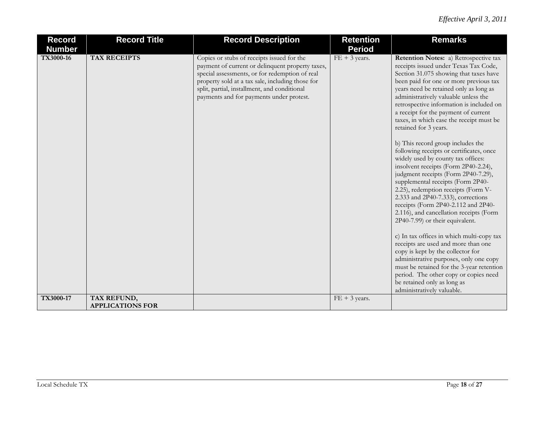| <b>Record</b><br><b>Number</b> | <b>Record Title</b>                    | <b>Record Description</b>                                                                                                                                                                                                                                                                        | <b>Retention</b><br><b>Period</b> | <b>Remarks</b>                                                                                                                                                                                                                                                                                                                                                                                                                                                                                                                                                                                                                                                                                                                                                                                                                                                                                                                                                                                                                                                                                                                                                                   |
|--------------------------------|----------------------------------------|--------------------------------------------------------------------------------------------------------------------------------------------------------------------------------------------------------------------------------------------------------------------------------------------------|-----------------------------------|----------------------------------------------------------------------------------------------------------------------------------------------------------------------------------------------------------------------------------------------------------------------------------------------------------------------------------------------------------------------------------------------------------------------------------------------------------------------------------------------------------------------------------------------------------------------------------------------------------------------------------------------------------------------------------------------------------------------------------------------------------------------------------------------------------------------------------------------------------------------------------------------------------------------------------------------------------------------------------------------------------------------------------------------------------------------------------------------------------------------------------------------------------------------------------|
| TX3000-16                      | <b>TAX RECEIPTS</b>                    | Copies or stubs of receipts issued for the<br>payment of current or delinquent property taxes,<br>special assessments, or for redemption of real<br>property sold at a tax sale, including those for<br>split, partial, installment, and conditional<br>payments and for payments under protest. | $FE + 3 \text{ years}.$           | Retention Notes: a) Retrospective tax<br>receipts issued under Texas Tax Code,<br>Section 31.075 showing that taxes have<br>been paid for one or more previous tax<br>years need be retained only as long as<br>administratively valuable unless the<br>retrospective information is included on<br>a receipt for the payment of current<br>taxes, in which case the receipt must be<br>retained for 3 years.<br>b) This record group includes the<br>following receipts or certificates, once<br>widely used by county tax offices:<br>insolvent receipts (Form 2P40-2.24),<br>judgment receipts (Form 2P40-7.29),<br>supplemental receipts (Form 2P40-<br>2.25), redemption receipts (Form V-<br>2.333 and 2P40-7.333), corrections<br>receipts (Form 2P40-2.112 and 2P40-<br>2.116), and cancellation receipts (Form<br>2P40-7.99) or their equivalent.<br>c) In tax offices in which multi-copy tax<br>receipts are used and more than one<br>copy is kept by the collector for<br>administrative purposes, only one copy<br>must be retained for the 3-year retention<br>period. The other copy or copies need<br>be retained only as long as<br>administratively valuable. |
| TX3000-17                      | TAX REFUND,<br><b>APPLICATIONS FOR</b> |                                                                                                                                                                                                                                                                                                  | $FE + 3$ years.                   |                                                                                                                                                                                                                                                                                                                                                                                                                                                                                                                                                                                                                                                                                                                                                                                                                                                                                                                                                                                                                                                                                                                                                                                  |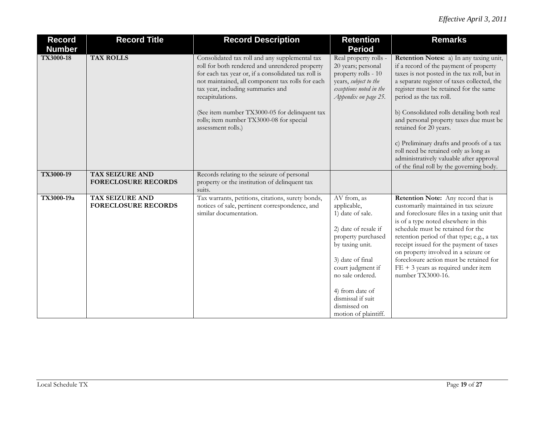| <b>Record</b><br><b>Number</b> | <b>Record Title</b>                                  | <b>Record Description</b>                                                                                                                                                                                                                                            | <b>Retention</b><br><b>Period</b>                                                                                                                                                                                                                            | <b>Remarks</b>                                                                                                                                                                                                                                                                                                                                                                                                                                           |
|--------------------------------|------------------------------------------------------|----------------------------------------------------------------------------------------------------------------------------------------------------------------------------------------------------------------------------------------------------------------------|--------------------------------------------------------------------------------------------------------------------------------------------------------------------------------------------------------------------------------------------------------------|----------------------------------------------------------------------------------------------------------------------------------------------------------------------------------------------------------------------------------------------------------------------------------------------------------------------------------------------------------------------------------------------------------------------------------------------------------|
| TX3000-18                      | <b>TAX ROLLS</b>                                     | Consolidated tax roll and any supplemental tax<br>roll for both rendered and unrendered property<br>for each tax year or, if a consolidated tax roll is<br>not maintained, all component tax rolls for each<br>tax year, including summaries and<br>recapitulations. | Real property rolls -<br>20 years; personal<br>property rolls - 10<br>years, subject to the<br>exceptions noted in the<br>Appendix on page 25.                                                                                                               | Retention Notes: a) In any taxing unit,<br>if a record of the payment of property<br>taxes is not posted in the tax roll, but in<br>a separate register of taxes collected, the<br>register must be retained for the same<br>period as the tax roll.                                                                                                                                                                                                     |
|                                |                                                      | (See item number TX3000-05 for delinquent tax<br>rolls; item number TX3000-08 for special<br>assessment rolls.)                                                                                                                                                      |                                                                                                                                                                                                                                                              | b) Consolidated rolls detailing both real<br>and personal property taxes due must be<br>retained for 20 years.                                                                                                                                                                                                                                                                                                                                           |
|                                |                                                      |                                                                                                                                                                                                                                                                      |                                                                                                                                                                                                                                                              | c) Preliminary drafts and proofs of a tax<br>roll need be retained only as long as<br>administratively valuable after approval<br>of the final roll by the governing body.                                                                                                                                                                                                                                                                               |
| TX3000-19                      | <b>TAX SEIZURE AND</b><br><b>FORECLOSURE RECORDS</b> | Records relating to the seizure of personal<br>property or the institution of delinquent tax<br>suits.                                                                                                                                                               |                                                                                                                                                                                                                                                              |                                                                                                                                                                                                                                                                                                                                                                                                                                                          |
| TX3000-19a                     | TAX SEIZURE AND<br><b>FORECLOSURE RECORDS</b>        | Tax warrants, petitions, citations, surety bonds,<br>notices of sale, pertinent correspondence, and<br>similar documentation.                                                                                                                                        | AV from, as<br>applicable,<br>1) date of sale.<br>2) date of resale if<br>property purchased<br>by taxing unit.<br>3) date of final<br>court judgment if<br>no sale ordered.<br>4) from date of<br>dismissal if suit<br>dismissed on<br>motion of plaintiff. | <b>Retention Note:</b> Any record that is<br>customarily maintained in tax seizure<br>and foreclosure files in a taxing unit that<br>is of a type noted elsewhere in this<br>schedule must be retained for the<br>retention period of that type; e.g., a tax<br>receipt issued for the payment of taxes<br>on property involved in a seizure or<br>foreclosure action must be retained for<br>$FE + 3$ years as required under item<br>number TX3000-16. |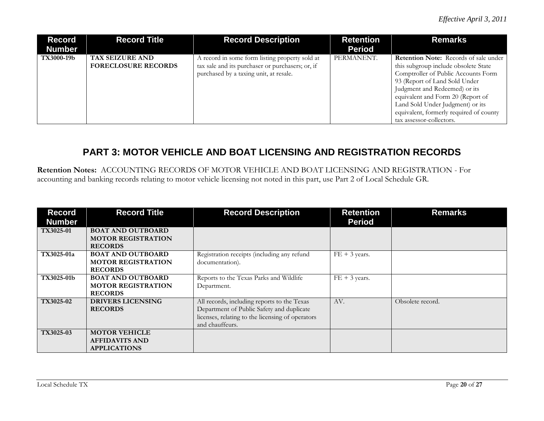| <b>Record</b><br><b>Number</b> | <b>Record Title</b>                                  | <b>Record Description</b>                                                                                                                    | <b>Retention</b><br><b>Period</b> | <b>Remarks</b>                                                                                                                                                                                |
|--------------------------------|------------------------------------------------------|----------------------------------------------------------------------------------------------------------------------------------------------|-----------------------------------|-----------------------------------------------------------------------------------------------------------------------------------------------------------------------------------------------|
| TX3000-19b                     | <b>TAX SEIZURE AND</b><br><b>FORECLOSURE RECORDS</b> | A record in some form listing property sold at<br>tax sale and its purchaser or purchasers; or, if<br>purchased by a taxing unit, at resale. | PERMANENT.                        | <b>Retention Note:</b> Records of sale under<br>this subgroup include obsolete State<br>Comptroller of Public Accounts Form<br>93 (Report of Land Sold Under<br>Judgment and Redeemed) or its |
|                                |                                                      |                                                                                                                                              |                                   | equivalent and Form 20 (Report of<br>Land Sold Under Judgment) or its<br>equivalent, formerly required of county<br>tax assessor-collectors.                                                  |

## **PART 3: MOTOR VEHICLE AND BOAT LICENSING AND REGISTRATION RECORDS**

**Retention Notes:** ACCOUNTING RECORDS OF MOTOR VEHICLE AND BOAT LICENSING AND REGISTRATION - For accounting and banking records relating to motor vehicle licensing not noted in this part, use Part 2 of Local Schedule GR.

| <b>Record</b> | <b>Record Title</b>       | <b>Record Description</b>                        | <b>Retention</b>        | <b>Remarks</b>   |
|---------------|---------------------------|--------------------------------------------------|-------------------------|------------------|
| <b>Number</b> |                           |                                                  | <b>Period</b>           |                  |
| TX3025-01     | <b>BOAT AND OUTBOARD</b>  |                                                  |                         |                  |
|               | <b>MOTOR REGISTRATION</b> |                                                  |                         |                  |
|               | <b>RECORDS</b>            |                                                  |                         |                  |
| TX3025-01a    | <b>BOAT AND OUTBOARD</b>  | Registration receipts (including any refund      | $FE + 3 \text{ years}.$ |                  |
|               | <b>MOTOR REGISTRATION</b> | documentation).                                  |                         |                  |
|               | <b>RECORDS</b>            |                                                  |                         |                  |
| TX3025-01b    | <b>BOAT AND OUTBOARD</b>  | Reports to the Texas Parks and Wildlife          | $FE + 3$ years.         |                  |
|               | <b>MOTOR REGISTRATION</b> | Department.                                      |                         |                  |
|               | <b>RECORDS</b>            |                                                  |                         |                  |
| TX3025-02     | <b>DRIVERS LICENSING</b>  | All records, including reports to the Texas      | AV.                     | Obsolete record. |
|               | <b>RECORDS</b>            | Department of Public Safety and duplicate        |                         |                  |
|               |                           | licenses, relating to the licensing of operators |                         |                  |
|               |                           | and chauffeurs.                                  |                         |                  |
| TX3025-03     | <b>MOTOR VEHICLE</b>      |                                                  |                         |                  |
|               | <b>AFFIDAVITS AND</b>     |                                                  |                         |                  |
|               | <b>APPLICATIONS</b>       |                                                  |                         |                  |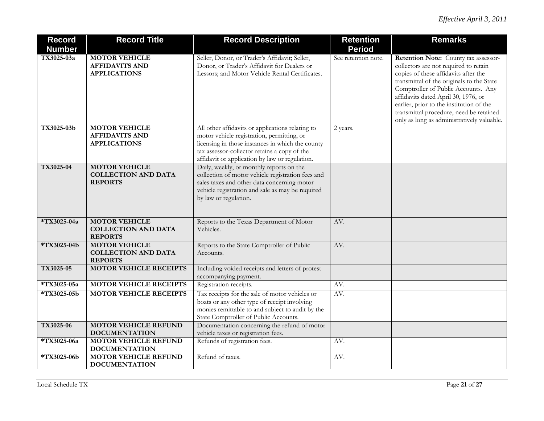| <b>Record</b> | <b>Record Title</b>                                                  | <b>Record Description</b>                                                                                                                       | <b>Retention</b>    | <b>Remarks</b>                                                                                                                                                                                                                                                                                                                                                                        |
|---------------|----------------------------------------------------------------------|-------------------------------------------------------------------------------------------------------------------------------------------------|---------------------|---------------------------------------------------------------------------------------------------------------------------------------------------------------------------------------------------------------------------------------------------------------------------------------------------------------------------------------------------------------------------------------|
| <b>Number</b> |                                                                      |                                                                                                                                                 | <b>Period</b>       |                                                                                                                                                                                                                                                                                                                                                                                       |
| TX3025-03a    | <b>MOTOR VEHICLE</b><br><b>AFFIDAVITS AND</b><br><b>APPLICATIONS</b> | Seller, Donor, or Trader's Affidavit; Seller,<br>Donor, or Trader's Affidavit for Dealers or<br>Lessors; and Motor Vehicle Rental Certificates. | See retention note. | Retention Note: County tax assessor-<br>collectors are not required to retain<br>copies of these affidavits after the<br>transmittal of the originals to the State<br>Comptroller of Public Accounts. Any<br>affidavits dated April 30, 1976, or<br>earlier, prior to the institution of the<br>transmittal procedure, need be retained<br>only as long as administratively valuable. |
| TX3025-03b    | <b>MOTOR VEHICLE</b>                                                 | All other affidavits or applications relating to                                                                                                | 2 years.            |                                                                                                                                                                                                                                                                                                                                                                                       |
|               | <b>AFFIDAVITS AND</b>                                                | motor vehicle registration, permitting, or                                                                                                      |                     |                                                                                                                                                                                                                                                                                                                                                                                       |
|               | <b>APPLICATIONS</b>                                                  | licensing in those instances in which the county                                                                                                |                     |                                                                                                                                                                                                                                                                                                                                                                                       |
|               |                                                                      | tax assessor-collector retains a copy of the                                                                                                    |                     |                                                                                                                                                                                                                                                                                                                                                                                       |
|               |                                                                      | affidavit or application by law or regulation.                                                                                                  |                     |                                                                                                                                                                                                                                                                                                                                                                                       |
| TX3025-04     | <b>MOTOR VEHICLE</b>                                                 | Daily, weekly, or monthly reports on the                                                                                                        |                     |                                                                                                                                                                                                                                                                                                                                                                                       |
|               | <b>COLLECTION AND DATA</b><br><b>REPORTS</b>                         | collection of motor vehicle registration fees and<br>sales taxes and other data concerning motor                                                |                     |                                                                                                                                                                                                                                                                                                                                                                                       |
|               |                                                                      | vehicle registration and sale as may be required                                                                                                |                     |                                                                                                                                                                                                                                                                                                                                                                                       |
|               |                                                                      | by law or regulation.                                                                                                                           |                     |                                                                                                                                                                                                                                                                                                                                                                                       |
|               |                                                                      |                                                                                                                                                 |                     |                                                                                                                                                                                                                                                                                                                                                                                       |
| *TX3025-04a   | <b>MOTOR VEHICLE</b><br><b>COLLECTION AND DATA</b><br><b>REPORTS</b> | Reports to the Texas Department of Motor<br>Vehicles.                                                                                           | AV.                 |                                                                                                                                                                                                                                                                                                                                                                                       |
| *TX3025-04b   | <b>MOTOR VEHICLE</b>                                                 | Reports to the State Comptroller of Public                                                                                                      | AV.                 |                                                                                                                                                                                                                                                                                                                                                                                       |
|               | <b>COLLECTION AND DATA</b>                                           | Accounts.                                                                                                                                       |                     |                                                                                                                                                                                                                                                                                                                                                                                       |
|               | <b>REPORTS</b>                                                       |                                                                                                                                                 |                     |                                                                                                                                                                                                                                                                                                                                                                                       |
| TX3025-05     | <b>MOTOR VEHICLE RECEIPTS</b>                                        | Including voided receipts and letters of protest                                                                                                |                     |                                                                                                                                                                                                                                                                                                                                                                                       |
|               |                                                                      | accompanying payment.                                                                                                                           |                     |                                                                                                                                                                                                                                                                                                                                                                                       |
| *TX3025-05a   | <b>MOTOR VEHICLE RECEIPTS</b>                                        | Registration receipts.                                                                                                                          | AV.                 |                                                                                                                                                                                                                                                                                                                                                                                       |
| *TX3025-05b   | <b>MOTOR VEHICLE RECEIPTS</b>                                        | Tax receipts for the sale of motor vehicles or                                                                                                  | AV.                 |                                                                                                                                                                                                                                                                                                                                                                                       |
|               |                                                                      | boats or any other type of receipt involving                                                                                                    |                     |                                                                                                                                                                                                                                                                                                                                                                                       |
|               |                                                                      | monies remittable to and subject to audit by the                                                                                                |                     |                                                                                                                                                                                                                                                                                                                                                                                       |
| TX3025-06     | <b>MOTOR VEHICLE REFUND</b>                                          | State Comptroller of Public Accounts.                                                                                                           |                     |                                                                                                                                                                                                                                                                                                                                                                                       |
|               | <b>DOCUMENTATION</b>                                                 | Documentation concerning the refund of motor<br>vehicle taxes or registration fees.                                                             |                     |                                                                                                                                                                                                                                                                                                                                                                                       |
| *TX3025-06a   | MOTOR VEHICLE REFUND                                                 | Refunds of registration fees.                                                                                                                   | AV.                 |                                                                                                                                                                                                                                                                                                                                                                                       |
|               | <b>DOCUMENTATION</b>                                                 |                                                                                                                                                 |                     |                                                                                                                                                                                                                                                                                                                                                                                       |
| *TX3025-06b   | <b>MOTOR VEHICLE REFUND</b>                                          | Refund of taxes.                                                                                                                                | AV.                 |                                                                                                                                                                                                                                                                                                                                                                                       |
|               | <b>DOCUMENTATION</b>                                                 |                                                                                                                                                 |                     |                                                                                                                                                                                                                                                                                                                                                                                       |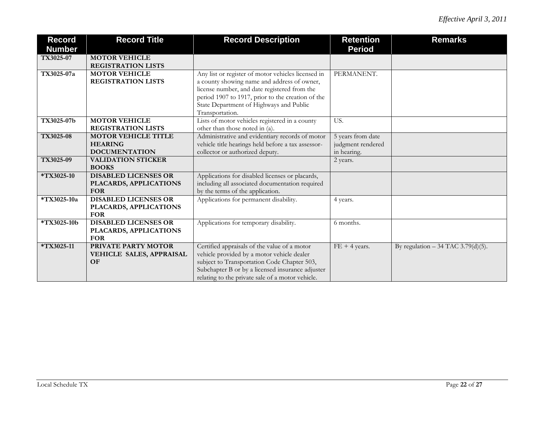| <b>Record</b><br><b>Number</b> | <b>Record Title</b>         | <b>Record Description</b>                          | <b>Retention</b><br><b>Period</b> | <b>Remarks</b>                      |
|--------------------------------|-----------------------------|----------------------------------------------------|-----------------------------------|-------------------------------------|
| TX3025-07                      | <b>MOTOR VEHICLE</b>        |                                                    |                                   |                                     |
|                                | <b>REGISTRATION LISTS</b>   |                                                    |                                   |                                     |
| TX3025-07a                     | <b>MOTOR VEHICLE</b>        | Any list or register of motor vehicles licensed in | PERMANENT.                        |                                     |
|                                | <b>REGISTRATION LISTS</b>   | a county showing name and address of owner,        |                                   |                                     |
|                                |                             | license number, and date registered from the       |                                   |                                     |
|                                |                             | period 1907 to 1917, prior to the creation of the  |                                   |                                     |
|                                |                             | State Department of Highways and Public            |                                   |                                     |
|                                |                             | Transportation.                                    |                                   |                                     |
| TX3025-07b                     | <b>MOTOR VEHICLE</b>        | Lists of motor vehicles registered in a county     | US.                               |                                     |
|                                | <b>REGISTRATION LISTS</b>   | other than those noted in (a).                     |                                   |                                     |
| TX3025-08                      | <b>MOTOR VEHICLE TITLE</b>  | Administrative and evidentiary records of motor    | 5 years from date                 |                                     |
|                                | <b>HEARING</b>              | vehicle title hearings held before a tax assessor- | judgment rendered                 |                                     |
|                                | <b>DOCUMENTATION</b>        | collector or authorized deputy.                    | in hearing.                       |                                     |
| TX3025-09                      | <b>VALIDATION STICKER</b>   |                                                    | 2 years.                          |                                     |
|                                | <b>BOOKS</b>                |                                                    |                                   |                                     |
| *TX3025-10                     | <b>DISABLED LICENSES OR</b> | Applications for disabled licenses or placards,    |                                   |                                     |
|                                | PLACARDS, APPLICATIONS      | including all associated documentation required    |                                   |                                     |
|                                | <b>FOR</b>                  | by the terms of the application.                   |                                   |                                     |
| *TX3025-10a                    | <b>DISABLED LICENSES OR</b> | Applications for permanent disability.             | 4 years.                          |                                     |
|                                | PLACARDS, APPLICATIONS      |                                                    |                                   |                                     |
|                                | <b>FOR</b>                  |                                                    |                                   |                                     |
| *TX3025-10b                    | <b>DISABLED LICENSES OR</b> | Applications for temporary disability.             | 6 months.                         |                                     |
|                                | PLACARDS, APPLICATIONS      |                                                    |                                   |                                     |
|                                | <b>FOR</b>                  |                                                    |                                   |                                     |
| *TX3025-11                     | PRIVATE PARTY MOTOR         | Certified appraisals of the value of a motor       | $FE + 4 \text{ years}.$           | By regulation $-34$ TAC 3.79(d)(5). |
|                                | VEHICLE SALES, APPRAISAL    | vehicle provided by a motor vehicle dealer         |                                   |                                     |
|                                | <b>OF</b>                   | subject to Transportation Code Chapter 503,        |                                   |                                     |
|                                |                             | Subchapter B or by a licensed insurance adjuster   |                                   |                                     |
|                                |                             | relating to the private sale of a motor vehicle.   |                                   |                                     |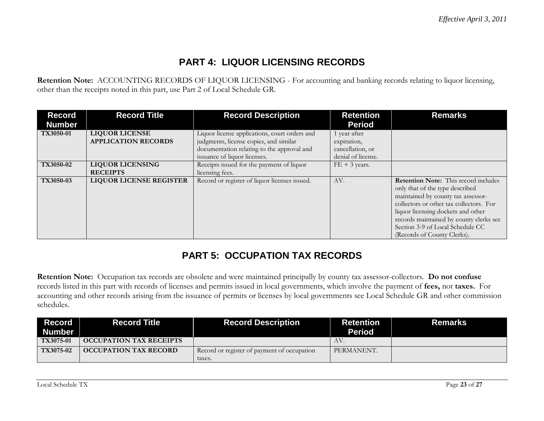# **PART 4: LIQUOR LICENSING RECORDS**

**Retention Note:** ACCOUNTING RECORDS OF LIQUOR LICENSING - For accounting and banking records relating to liquor licensing, other than the receipts noted in this part, use Part 2 of Local Schedule GR.

| <b>Record</b><br><b>Number</b> | <b>Record Title</b>                                 | <b>Record Description</b>                                                               | <b>Retention</b><br><b>Period</b>      | <b>Remarks</b>                                                                                                                                                                                                                                                                                                      |
|--------------------------------|-----------------------------------------------------|-----------------------------------------------------------------------------------------|----------------------------------------|---------------------------------------------------------------------------------------------------------------------------------------------------------------------------------------------------------------------------------------------------------------------------------------------------------------------|
| TX3050-01                      | <b>LIQUOR LICENSE</b><br><b>APPLICATION RECORDS</b> | Liquor license applications, court orders and<br>judgments, license copies, and similar | 1 year after<br>expiration,            |                                                                                                                                                                                                                                                                                                                     |
|                                |                                                     | documentation relating to the approval and<br>issuance of liquor licenses.              | cancellation, or<br>denial of license. |                                                                                                                                                                                                                                                                                                                     |
| TX3050-02                      | <b>LIQUOR LICENSING</b><br><b>RECEIPTS</b>          | Receipts issued for the payment of liquor<br>licensing fees.                            | $FE + 3 \text{ years}.$                |                                                                                                                                                                                                                                                                                                                     |
| TX3050-03                      | <b>LIQUOR LICENSE REGISTER</b>                      | Record or register of liquor licenses issued.                                           | AV.                                    | <b>Retention Note:</b> This record includes<br>only that of the type described<br>maintained by county tax assessor-<br>collectors or other tax collectors. For<br>liquor licensing dockets and other<br>records maintained by county clerks see<br>Section 3-9 of Local Schedule CC<br>(Records of County Clerks). |

# **PART 5: OCCUPATION TAX RECORDS**

**Retention Note:** Occupation tax records are obsolete and were maintained principally by county tax assessor-collectors. **Do not confuse**  records listed in this part with records of licenses and permits issued in local governments, which involve the payment of **fees,** not **taxes.** For accounting and other records arising from the issuance of permits or licenses by local governments see Local Schedule GR and other commission schedules.

| <b>Record</b><br><b>Number</b> | <b>Record Title</b>            | <b>Record Description</b>                             | <b>Retention</b><br><b>Period</b> | <b>Remarks</b> |
|--------------------------------|--------------------------------|-------------------------------------------------------|-----------------------------------|----------------|
| $TX3075-01$                    | <b>OCCUPATION TAX RECEIPTS</b> |                                                       | AV.                               |                |
| <b>TX3075-02</b>               | <b>OCCUPATION TAX RECORD</b>   | Record or register of payment of occupation<br>taxes. | PERMANENT.                        |                |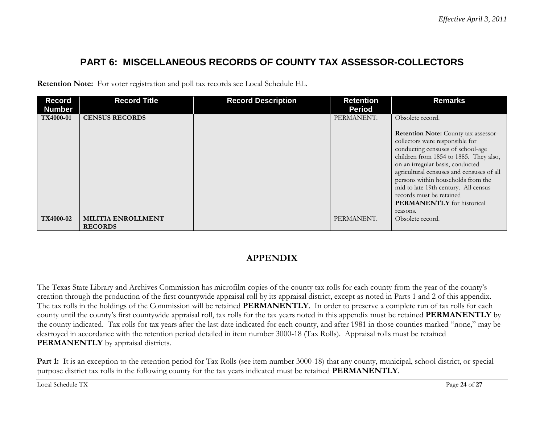# **PART 6: MISCELLANEOUS RECORDS OF COUNTY TAX ASSESSOR-COLLECTORS**

**Retention Note:** For voter registration and poll tax records see Local Schedule EL.

| <b>Record</b>    | <b>Record Title</b>                         | <b>Record Description</b> | <b>Retention</b> | <b>Remarks</b>                                                                                                                                                                                                                                                                                                                                                                                             |
|------------------|---------------------------------------------|---------------------------|------------------|------------------------------------------------------------------------------------------------------------------------------------------------------------------------------------------------------------------------------------------------------------------------------------------------------------------------------------------------------------------------------------------------------------|
| <b>Number</b>    |                                             |                           | <b>Period</b>    |                                                                                                                                                                                                                                                                                                                                                                                                            |
| <b>TX4000-01</b> | <b>CENSUS RECORDS</b>                       |                           | PERMANENT.       | Obsolete record.<br>Retention Note: County tax assessor-<br>collectors were responsible for<br>conducting censuses of school-age<br>children from 1854 to 1885. They also,<br>on an irregular basis, conducted<br>agricultural censuses and censuses of all<br>persons within households from the<br>mid to late 19th century. All census<br>records must be retained<br><b>PERMANENTLY</b> for historical |
|                  |                                             |                           |                  | reasons.                                                                                                                                                                                                                                                                                                                                                                                                   |
| TX4000-02        | <b>MILITIA ENROLLMENT</b><br><b>RECORDS</b> |                           | PERMANENT.       | Obsolete record.                                                                                                                                                                                                                                                                                                                                                                                           |

#### **APPENDIX**

The Texas State Library and Archives Commission has microfilm copies of the county tax rolls for each county from the year of the county's creation through the production of the first countywide appraisal roll by its appraisal district, except as noted in Parts 1 and 2 of this appendix. The tax rolls in the holdings of the Commission will be retained **PERMANENTLY**. In order to preserve a complete run of tax rolls for each county until the county's first countywide appraisal roll, tax rolls for the tax years noted in this appendix must be retained **PERMANENTLY** by the county indicated. Tax rolls for tax years after the last date indicated for each county, and after 1981 in those counties marked "none," may be destroyed in accordance with the retention period detailed in item number 3000-18 (Tax Rolls). Appraisal rolls must be retained **PERMANENTLY** by appraisal districts.

Part 1: It is an exception to the retention period for Tax Rolls (see item number 3000-18) that any county, municipal, school district, or special purpose district tax rolls in the following county for the tax years indicated must be retained **PERMANENTLY**.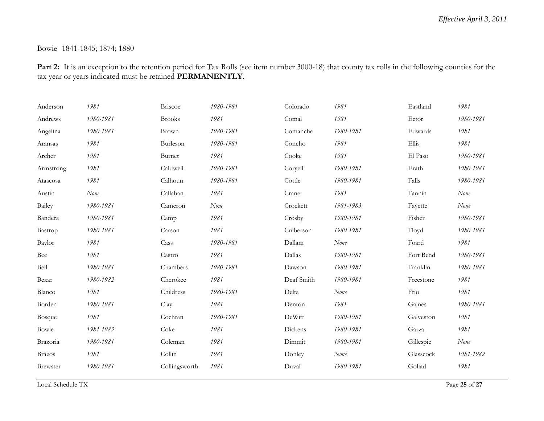#### Bowie 1841-1845; 1874; 1880

Part 2: It is an exception to the retention period for Tax Rolls (see item number 3000-18) that county tax rolls in the following counties for the tax year or years indicated must be retained **PERMANENTLY**.

| Anderson      | 1981      | Briscoe       | 1980-1981 | Colorado   | 1981      | Eastland  | 1981      |
|---------------|-----------|---------------|-----------|------------|-----------|-----------|-----------|
| Andrews       | 1980-1981 | <b>Brooks</b> | 1981      | Comal      | 1981      | Ector     | 1980-1981 |
| Angelina      | 1980-1981 | Brown         | 1980-1981 | Comanche   | 1980-1981 | Edwards   | 1981      |
| Aransas       | 1981      | Burleson      | 1980-1981 | Concho     | 1981      | Ellis     | 1981      |
| Archer        | 1981      | Burnet        | 1981      | Cooke      | 1981      | El Paso   | 1980-1981 |
| Armstrong     | 1981      | Caldwell      | 1980-1981 | Coryell    | 1980-1981 | Erath     | 1980-1981 |
| Atascosa      | 1981      | Calhoun       | 1980-1981 | Cottle     | 1980-1981 | Falls     | 1980-1981 |
| Austin        | None      | Callahan      | 1981      | Crane      | 1981      | Fannin    | None      |
| Bailey        | 1980-1981 | Cameron       | None      | Crockett   | 1981-1983 | Fayette   | None      |
| Bandera       | 1980-1981 | Camp          | 1981      | Crosby     | 1980-1981 | Fisher    | 1980-1981 |
| Bastrop       | 1980-1981 | Carson        | 1981      | Culberson  | 1980-1981 | Floyd     | 1980-1981 |
| Baylor        | 1981      | Cass          | 1980-1981 | Dallam     | None      | Foard     | 1981      |
| Bee           | 1981      | Castro        | 1981      | Dallas     | 1980-1981 | Fort Bend | 1980-1981 |
| Bell          | 1980-1981 | Chambers      | 1980-1981 | Dawson     | 1980-1981 | Franklin  | 1980-1981 |
| Bexar         | 1980-1982 | Cherokee      | 1981      | Deaf Smith | 1980-1981 | Freestone | 1981      |
| Blanco        | 1981      | Childress     | 1980-1981 | Delta      | None      | Frio      | 1981      |
| Borden        | 1980-1981 | Clay          | 1981      | Denton     | 1981      | Gaines    | 1980-1981 |
| Bosque        | 1981      | Cochran       | 1980-1981 | DeWitt     | 1980-1981 | Galveston | 1981      |
| Bowie         | 1981-1983 | Coke          | 1981      | Dickens    | 1980-1981 | Garza     | 1981      |
| Brazoria      | 1980-1981 | Coleman       | 1981      | Dimmit     | 1980-1981 | Gillespie | None      |
| <b>Brazos</b> | 1981      | Collin        | 1981      | Donley     | None      | Glasscock | 1981-1982 |
| Brewster      | 1980-1981 | Collingsworth | 1981      | Duval      | 1980-1981 | Goliad    | 1981      |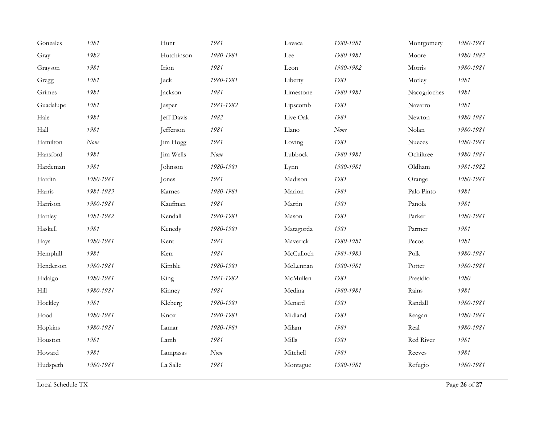| Gonzales  | 1981      | Hunt       | 1981      | Lavaca    | 1980-1981 | Montgomery  | 1980-1981 |
|-----------|-----------|------------|-----------|-----------|-----------|-------------|-----------|
| Gray      | 1982      | Hutchinson | 1980-1981 | Lee       | 1980-1981 | Moore       | 1980-1982 |
| Grayson   | 1981      | Irion      | 1981      | Leon      | 1980-1982 | Morris      | 1980-1981 |
| Gregg     | 1981      | Jack       | 1980-1981 | Liberty   | 1981      | Motley      | 1981      |
| Grimes    | 1981      | Jackson    | 1981      | Limestone | 1980-1981 | Nacogdoches | 1981      |
| Guadalupe | 1981      | Jasper     | 1981-1982 | Lipscomb  | 1981      | Navarro     | 1981      |
| Hale      | 1981      | Jeff Davis | 1982      | Live Oak  | 1981      | Newton      | 1980-1981 |
| Hall      | 1981      | Jefferson  | 1981      | Llano     | None      | Nolan       | 1980-1981 |
| Hamilton  | None      | Jim Hogg   | 1981      | Loving    | 1981      | Nueces      | 1980-1981 |
| Hansford  | 1981      | Jim Wells  | None      | Lubbock   | 1980-1981 | Ochiltree   | 1980-1981 |
| Hardeman  | 1981      | Johnson    | 1980-1981 | Lynn      | 1980-1981 | Oldham      | 1981-1982 |
| Hardin    | 1980-1981 | Jones      | 1981      | Madison   | 1981      | Orange      | 1980-1981 |
| Harris    | 1981-1983 | Karnes     | 1980-1981 | Marion    | 1981      | Palo Pinto  | 1981      |
| Harrison  | 1980-1981 | Kaufman    | 1981      | Martin    | 1981      | Panola      | 1981      |
| Hartley   | 1981-1982 | Kendall    | 1980-1981 | Mason     | 1981      | Parker      | 1980-1981 |
| Haskell   | 1981      | Kenedy     | 1980-1981 | Matagorda | 1981      | Parmer      | 1981      |
| Hays      | 1980-1981 | Kent       | 1981      | Maverick  | 1980-1981 | Pecos       | 1981      |
| Hemphill  | 1981      | Kerr       | 1981      | McCulloch | 1981-1983 | Polk        | 1980-1981 |
| Henderson | 1980-1981 | Kimble     | 1980-1981 | McLennan  | 1980-1981 | Potter      | 1980-1981 |
| Hidalgo   | 1980-1981 | King       | 1981-1982 | McMullen  | 1981      | Presidio    | 1980      |
| Hill      | 1980-1981 | Kinney     | 1981      | Medina    | 1980-1981 | Rains       | 1981      |
| Hockley   | 1981      | Kleberg    | 1980-1981 | Menard    | 1981      | Randall     | 1980-1981 |
| Hood      | 1980-1981 | Knox       | 1980-1981 | Midland   | 1981      | Reagan      | 1980-1981 |
| Hopkins   | 1980-1981 | Lamar      | 1980-1981 | Milam     | 1981      | Real        | 1980-1981 |
| Houston   | 1981      | Lamb       | 1981      | Mills     | 1981      | Red River   | 1981      |
| Howard    | 1981      | Lampasas   | None      | Mitchell  | 1981      | Reeves      | 1981      |
| Hudspeth  | 1980-1981 | La Salle   | 1981      | Montague  | 1980-1981 | Refugio     | 1980-1981 |
|           |           |            |           |           |           |             |           |